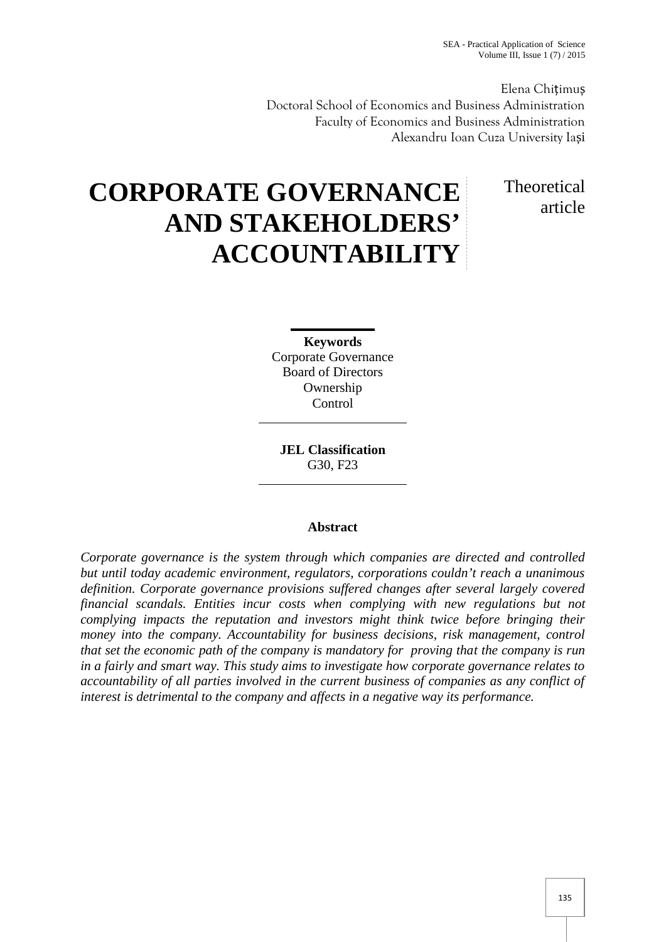SEA - Practical Application of Science Volume III, Issue 1 (7) / 2015

Elena Chițimu Doctoral School of Economics and Business Administration Faculty of Economics and Business Administration Alexandru Ioan Cuza University Ia i

# Theoretical article

# **CORPORATE GOVERNANCE AND STAKEHOLDERS' ACCOUNTABILITY**

**Keywords** Corporate Governance Board of Directors Ownership **Control** 

**JEL Classification** G30, F23

# **Abstract**

*Corporate governance is the system through which companies are directed and controlled but until today academic environment, regulators, corporations couldn't reach a unanimous definition. Corporate governance provisions suffered changes after several largely covered financial scandals. Entities incur costs when complying with new regulations but not complying impacts the reputation and investors might think twice before bringing their money into the company. Accountability for business decisions, risk management, control that set the economic path of the company is mandatory for proving that the company is run in a fairly and smart way. This study aims to investigate how corporate governance relates to accountability of all parties involved in the current business of companies as any conflict of interest is detrimental to the company and affects in a negative way its performance.*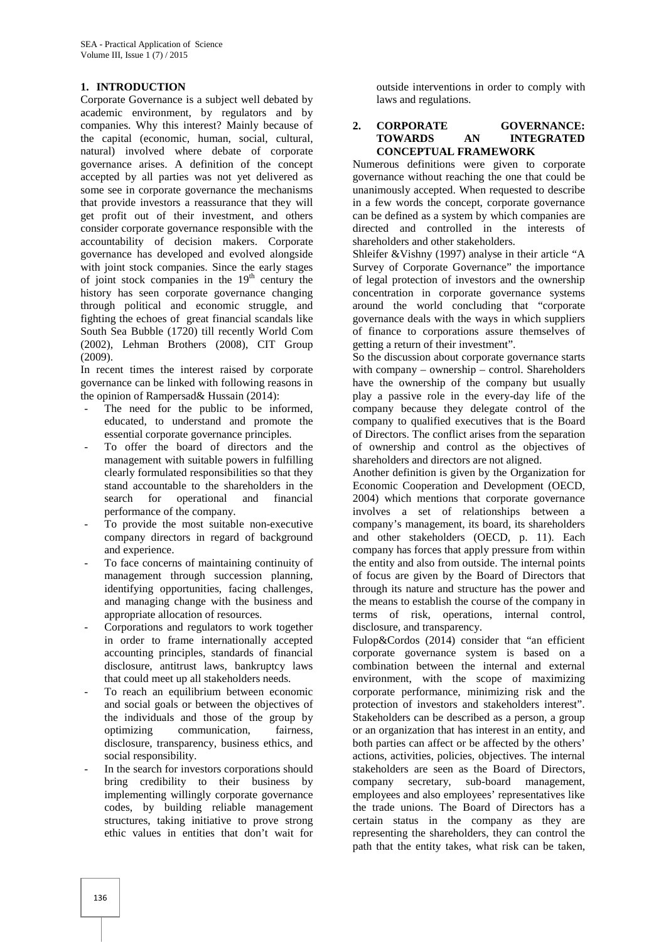#### **1. INTRODUCTION**

Corporate Governance is a subject well debated by academic environment, by regulators and by companies. Why this interest? Mainly because of the capital (economic, human, social, cultural, natural) involved where debate of corporate governance arises. A definition of the concept accepted by all parties was not yet delivered as some see in corporate governance the mechanisms that provide investors a reassurance that they will get profit out of their investment, and others consider corporate governance responsible with the accountability of decision makers. Corporate governance has developed and evolved alongside with joint stock companies. Since the early stages of joint stock companies in the  $19<sup>th</sup>$  century the history has seen corporate governance changing through political and economic struggle, and fighting the echoes of great financial scandals like South Sea Bubble (1720) till recently World Com (2002), Lehman Brothers (2008), CIT Group (2009).

In recent times the interest raised by corporate governance can be linked with following reasons in the opinion of Rampersad& Hussain (2014):

- The need for the public to be informed, educated, to understand and promote the essential corporate governance principles.
- To offer the board of directors and the management with suitable powers in fulfilling clearly formulated responsibilities so that they stand accountable to the shareholders in the search for operational and financial performance of the company.
- To provide the most suitable non-executive company directors in regard of background and experience.
- To face concerns of maintaining continuity of management through succession planning, identifying opportunities, facing challenges, and managing change with the business and appropriate allocation of resources.
- Corporations and regulators to work together in order to frame internationally accepted accounting principles, standards of financial disclosure, antitrust laws, bankruptcy laws that could meet up all stakeholders needs.
- To reach an equilibrium between economic and social goals or between the objectives of the individuals and those of the group by optimizing communication, fairness, disclosure, transparency, business ethics, and social responsibility.
- In the search for investors corporations should bring credibility to their business by company implementing willingly corporate governance codes, by building reliable management structures, taking initiative to prove strong ethic values in entities that don't wait for

outside interventions in order to comply with laws and regulations.

#### **2. CORPORATE GOVERNANCE: TOWARDS AN INTEGRATED CONCEPTUAL FRAMEWORK**

Numerous definitions were given to corporate governance without reaching the one that could be unanimously accepted. When requested to describe in a few words the concept, corporate governance can be defined as a system by which companies are directed and controlled in the interests of shareholders and other stakeholders.

Shleifer &Vishny (1997) analyse in their article "A Survey of Corporate Governance" the importance of legal protection of investors and the ownership concentration in corporate governance systems around the world concluding that "corporate governance deals with the ways in which suppliers of finance to corporations assure themselves of getting a return of their investment".

So the discussion about corporate governance starts with company – ownership – control. Shareholders have the ownership of the company but usually play a passive role in the every-day life of the company because they delegate control of the company to qualified executives that is the Board of Directors. The conflict arises from the separation of ownership and control as the objectives of shareholders and directors are not aligned.

Another definition is given by the Organization for Economic Cooperation and Development (OECD, 2004) which mentions that corporate governance involves a set of relationships between a company's management, its board, its shareholders and other stakeholders (OECD, p. 11). Each company has forces that apply pressure from within the entity and also from outside. The internal points of focus are given by the Board of Directors that through its nature and structure has the power and the means to establish the course of the company in terms of risk, operations, internal control, disclosure, and transparency.

Fulop&Cordos (2014) consider that "an efficient corporate governance system is based on a combination between the internal and external environment, with the scope of maximizing corporate performance, minimizing risk and the protection of investors and stakeholders interest". Stakeholders can be described as a person, a group or an organization that has interest in an entity, and both parties can affect or be affected by the others' actions, activities, policies, objectives. The internal stakeholders are seen as the Board of Directors, secretary, sub-board management, employees and also employees' representatives like the trade unions. The Board of Directors has a certain status in the company as they are representing the shareholders, they can control the path that the entity takes, what risk can be taken,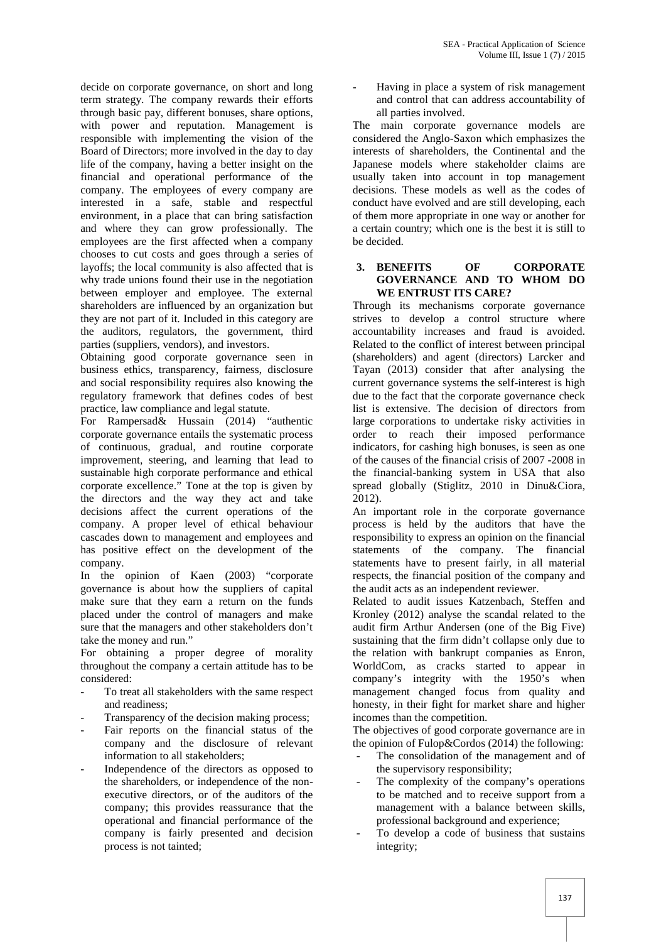decide on corporate governance, on short and long term strategy. The company rewards their efforts through basic pay, different bonuses, share options, with power and reputation. Management is responsible with implementing the vision of the Board of Directors; more involved in the day to day life of the company, having a better insight on the financial and operational performance of the company. The employees of every company are interested in a safe, stable and respectful environment, in a place that can bring satisfaction and where they can grow professionally. The employees are the first affected when a company chooses to cut costs and goes through a series of layoffs; the local community is also affected that is why trade unions found their use in the negotiation between employer and employee. The external shareholders are influenced by an organization but they are not part of it. Included in this category are the auditors, regulators, the government, third parties (suppliers, vendors), and investors.

Obtaining good corporate governance seen in business ethics, transparency, fairness, disclosure and social responsibility requires also knowing the regulatory framework that defines codes of best practice, law compliance and legal statute.

For Rampersad& Hussain (2014) "authentic corporate governance entails the systematic process of continuous, gradual, and routine corporate improvement, steering, and learning that lead to sustainable high corporate performance and ethical corporate excellence." Tone at the top is given by the directors and the way they act and take decisions affect the current operations of the company. A proper level of ethical behaviour cascades down to management and employees and has positive effect on the development of the company.

In the opinion of Kaen (2003) "corporate governance is about how the suppliers of capital make sure that they earn a return on the funds placed under the control of managers and make sure that the managers and other stakeholders don't take the money and run."

For obtaining a proper degree of morality throughout the company a certain attitude has to be considered:

- To treat all stakeholders with the same respect and readiness;
- Transparency of the decision making process;
- Fair reports on the financial status of the company and the disclosure of relevant information to all stakeholders;
- Independence of the directors as opposed to the shareholders, or independence of the non executive directors, or of the auditors of the company; this provides reassurance that the operational and financial performance of the company is fairly presented and decision process is not tainted;

Having in place a system of risk management and control that can address accountability of all parties involved.

The main corporate governance models are considered the Anglo-Saxon which emphasizes the interests of shareholders, the Continental and the Japanese models where stakeholder claims are usually taken into account in top management decisions. These models as well as the codes of conduct have evolved and are still developing, each of them more appropriate in one way or another for a certain country; which one is the best it is still to be decided.

#### **3. BENEFITS OF CORPORATE GOVERNANCE AND TO WHOM DO WE ENTRUST ITS CARE?**

Through its mechanisms corporate governance strives to develop a control structure where accountability increases and fraud is avoided. Related to the conflict of interest between principal (shareholders) and agent (directors) Larcker and Tayan (2013) consider that after analysing the current governance systems the self-interest is high due to the fact that the corporate governance check list is extensive. The decision of directors from large corporations to undertake risky activities in order to reach their imposed performance indicators, for cashing high bonuses, is seen as one of the causes of the financial crisis of 2007 -2008 in the financial-banking system in USA that also spread globally (Stiglitz, 2010 in Dinu&Ciora, 2012).

An important role in the corporate governance process is held by the auditors that have the responsibility to express an opinion on the financial statements of the company. The financial statements have to present fairly, in all material respects, the financial position of the company and the audit acts as an independent reviewer.

Related to audit issues Katzenbach, Steffen and Kronley (2012) analyse the scandal related to the audit firm Arthur Andersen (one of the Big Five) sustaining that the firm didn't collapse only due to the relation with bankrupt companies as Enron, WorldCom, as cracks started to appear in company's integrity with the 1950's when management changed focus from quality and honesty, in their fight for market share and higher incomes than the competition.

The objectives of good corporate governance are in the opinion of Fulop&Cordos (2014) the following:

- The consolidation of the management and of the supervisory responsibility;
- The complexity of the company's operations to be matched and to receive support from a management with a balance between skills, professional background and experience;
- To develop a code of business that sustains integrity;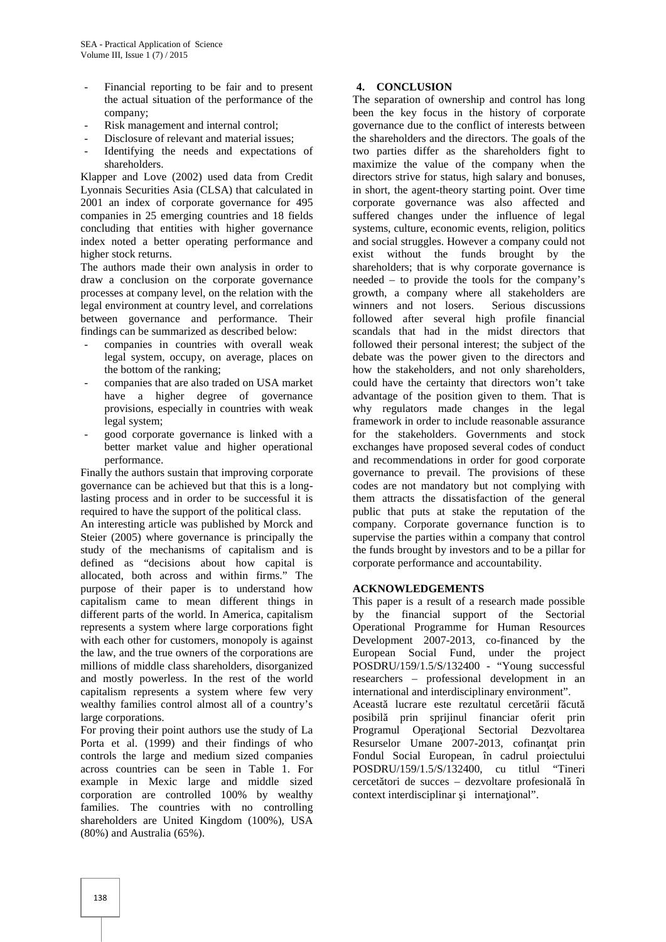- Financial reporting to be fair and to present the actual situation of the performance of the company;
- Risk management and internal control;
- Disclosure of relevant and material issues:
- Identifying the needs and expectations of shareholders.

Klapper and Love (2002) used data from Credit Lyonnais Securities Asia (CLSA) that calculated in 2001 an index of corporate governance for 495 companies in 25 emerging countries and 18 fields concluding that entities with higher governance index noted a better operating performance and higher stock returns.

The authors made their own analysis in order to draw a conclusion on the corporate governance processes at company level, on the relation with the legal environment at country level, and correlations between governance and performance. Their findings can be summarized as described below:

- companies in countries with overall weak legal system, occupy, on average, places on the bottom of the ranking;
- companies that are also traded on USA market have a higher degree of governance provisions, especially in countries with weak legal system;
- good corporate governance is linked with a better market value and higher operational performance.

Finally the authors sustain that improving corporate governance can be achieved but that this is a longlasting process and in order to be successful it is required to have the support of the political class.

An interesting article was published by Morck and Steier (2005) where governance is principally the study of the mechanisms of capitalism and is defined as "decisions about how capital is allocated, both across and within firms." The purpose of their paper is to understand how capitalism came to mean different things in different parts of the world. In America, capitalism represents a system where large corporations fight with each other for customers, monopoly is against the law, and the true owners of the corporations are millions of middle class shareholders, disorganized and mostly powerless. In the rest of the world capitalism represents a system where few very wealthy families control almost all of a country's large corporations.

For proving their point authors use the study of La Porta et al. (1999) and their findings of who controls the large and medium sized companies across countries can be seen in Table 1. For example in Mexic large and middle sized corporation are controlled 100% by wealthy families. The countries with no controlling shareholders are United Kingdom (100%), USA (80%) and Australia (65%).

## **4. CONCLUSION**

The separation of ownership and control has long been the key focus in the history of corporate governance due to the conflict of interests between the shareholders and the directors. The goals of the two parties differ as the shareholders fight to maximize the value of the company when the directors strive for status, high salary and bonuses, in short, the agent-theory starting point. Over time corporate governance was also affected and suffered changes under the influence of legal systems, culture, economic events, religion, politics and social struggles. However a company could not exist without the funds brought by the shareholders; that is why corporate governance is needed – to provide the tools for the company's growth, a company where all stakeholders are winners and not losers. Serious discussions followed after several high profile financial scandals that had in the midst directors that followed their personal interest; the subject of the debate was the power given to the directors and how the stakeholders, and not only shareholders, could have the certainty that directors won't take advantage of the position given to them. That is why regulators made changes in the legal framework in order to include reasonable assurance for the stakeholders. Governments and stock exchanges have proposed several codes of conduct and recommendations in order for good corporate governance to prevail. The provisions of these codes are not mandatory but not complying with them attracts the dissatisfaction of the general public that puts at stake the reputation of the company. Corporate governance function is to supervise the parties within a company that control the funds brought by investors and to be a pillar for corporate performance and accountability.

#### **ACKNOWLEDGEMENTS**

This paper is a result of a research made possible by the financial support of the Sectorial Operational Programme for Human Resources Development 2007-2013, co-financed by the European Social Fund, under the project POSDRU/159/1.5/S/132400 - "Young successful researchers – professional development in an international and interdisciplinary environment". Aceast lucrare este rezultatul cercet rii f cut posibilă prin sprijinul financiar oferit prin Programul Opera ional Sectorial Dezvoltarea Resurselor Umane 2007-2013, cofinan at prin Fondul Social European, în cadrul proiectului POSDRU/159/1.5/S/132400, cu titlul "Tineri cercet tori de succes – dezvoltare profesional în context interdisciplinar *i* international".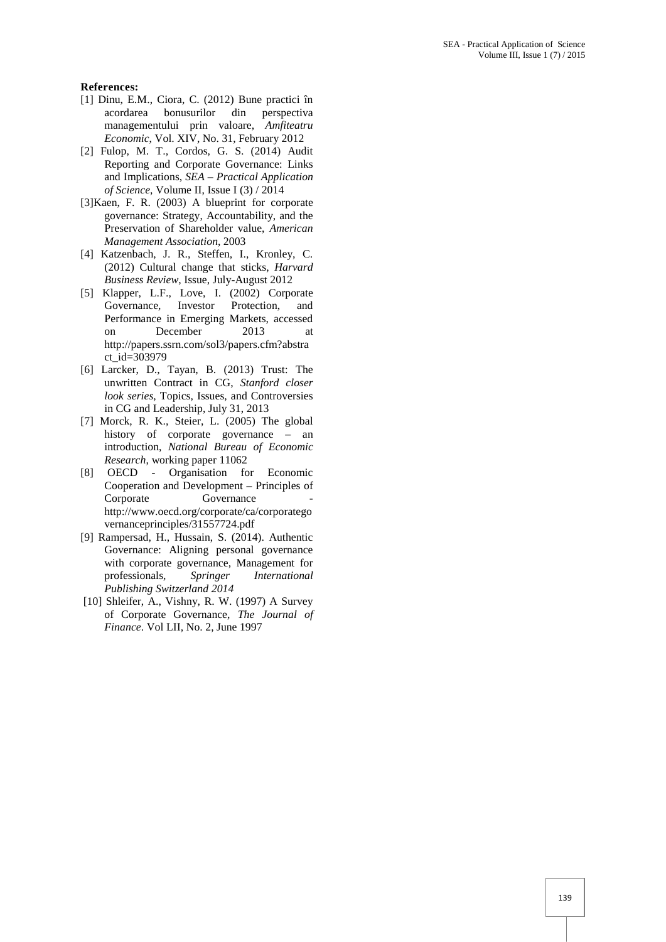#### **References:**

- [1] Dinu, E.M., Ciora, C. (2012) Bune practici în acordarea bonusurilor din perspectiva managementului prin valoare, *Amfiteatru Economic*, Vol. XIV, No. 31, February 2012
- [2] Fulop, M. T., Cordos, G. S. (2014) Audit Reporting and Corporate Governance: Links and Implications, *SEA – Practical Application of Science*, Volume II, Issue I (3) / 2014
- [3]Kaen, F. R. (2003) A blueprint for corporate governance: Strategy, Accountability, and the Preservation of Shareholder value, *American Management Association*, 2003
- [4] Katzenbach, J. R., Steffen, I., Kronley, C. (2012) Cultural change that sticks, *Harvard Business Review*, Issue, July-August 2012
- [5] Klapper, L.F., Love, I. (2002) Corporate Governance, Investor Protection, and Performance in Emerging Markets, accessed on December 2013 at http://papers.ssrn.com/sol3/papers.cfm?abstra ct\_id=303979
- [6] Larcker, D., Tayan, B. (2013) Trust: The unwritten Contract in CG, *Stanford closer look series*, Topics, Issues, and Controversies in CG and Leadership, July 31, 2013
- [7] Morck, R. K., Steier, L. (2005) The global history of corporate governance – an introduction, *National Bureau of Economic Research*, working paper 11062
- [8] OECD Organisation for Economic Cooperation and Development – Principles of Corporate Governance http://www.oecd.org/corporate/ca/corporatego vernanceprinciples/31557724.pdf
- [9] Rampersad, H., Hussain, S. (2014). Authentic Governance: Aligning personal governance with corporate governance, Management for professionals, *Springer International Publishing Switzerland 2014*
- [10] Shleifer, A., Vishny, R. W. (1997) A Survey of Corporate Governance, *The Journal of Finance*. Vol LII, No. 2, June 1997